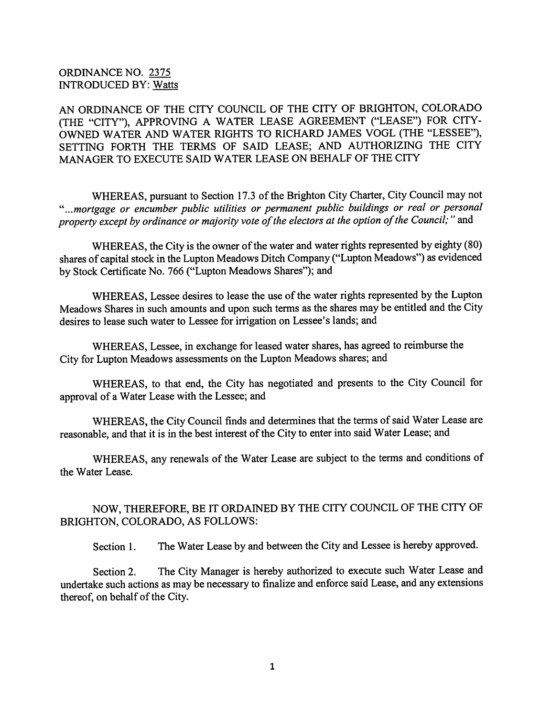## ORDINANCE NO. 2375 INTRODUCED BY: Watts

AN ORDINANCE OF THE CITY COUNCIL OF THE CITY OF BRIGHTON, COLORADO (THE "CITY"), APPROVING A WATER LEASE AGREEMENT ("LEASE") FOR CITY-OWNED WATER AND WATER RIGHTS TO RICHARD JAMES VOGL (THE "LESSEE"), SETTING FORTH THE TERMS OF SAID LEASE; AND AUTHORIZING THE CITY MANAGER TO EXECUTE SAID WATER LEASE ON BEHALF OF THE CITY

WHEREAS, pursuant to Section 17.3 of the Brighton City Charter, City Council may not mortgage or encumber public utilities or permanent public buildings or real or personal property except by ordinance or majority vote of the electors at the option of the Council;" and

WHEREAS, the City is the owner of the water and water rights represented by eighty (80) shares of capital stock in the Lupton Meadows Ditch Company ("Lupton Meadows") as evidenced by Stock Certificate No. 766 ("Lupton Meadows Shares"); and

WHEREAS, Lessee desires to lease the use of the water rights represented by the Lupton Meadows Shares in such amounts and upon such terms as the shares may be entitled and the City desires to lease such water to Lessee for irrigation on Lessee's lands; and

WHEREAS, Lessee, in exchange for leased water shares, has agreed to reimburse the City for Lupton Meadows assessments on the Lupton Meadows shares; and

WHEREAS, to that end, the City has negotiated and presents to the City Council for approval of a Water Lease with the Lessee; and

WHEREAS, the City Council finds and determines that the terms of said Water Lease are reasonable, and that it is in the best interest of the City to enter into said Water Lease; and

WHEREAS, any renewals of the Water Lease are subject to the terms and conditions of the Water Lease.

NOW, THEREFORE, BE IT ORDAINED BY THE CITY COUNCIL OF THE CITY OF BRIGHTON, COLORADO, AS FOLLOWS:

Section 1. The Water Lease by and between the City and Lessee is hereby approved.

Section 2. The City Manager is hereby authorized to execute such Water Lease and undertake such actions as may be necessary to finalize and enforce said Lease, and any extensions thereof, on behalf of the City.